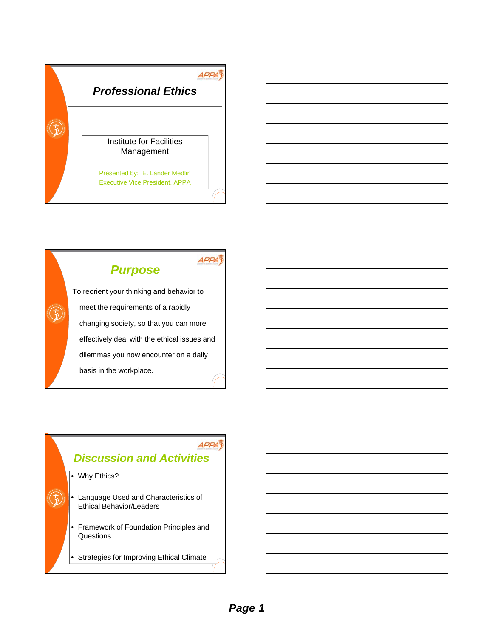



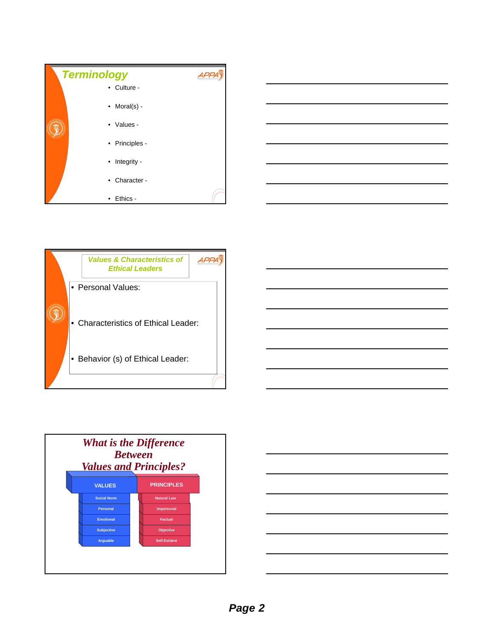







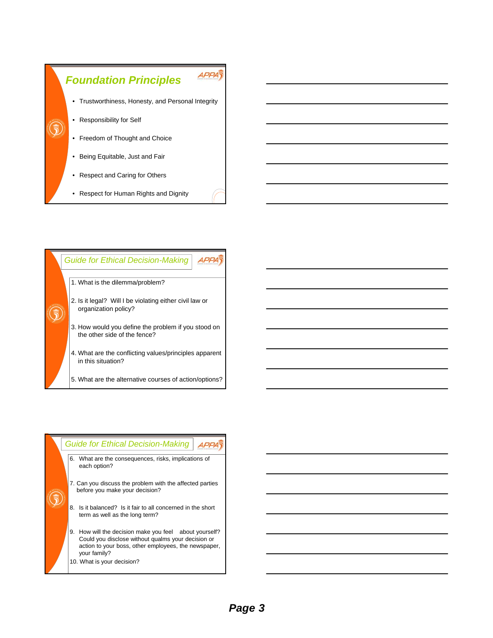



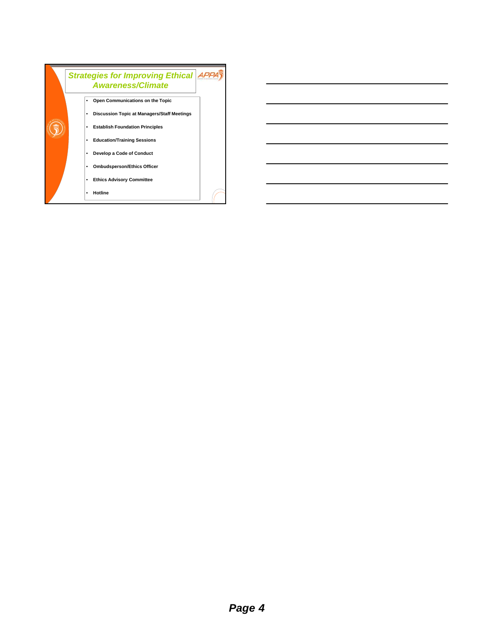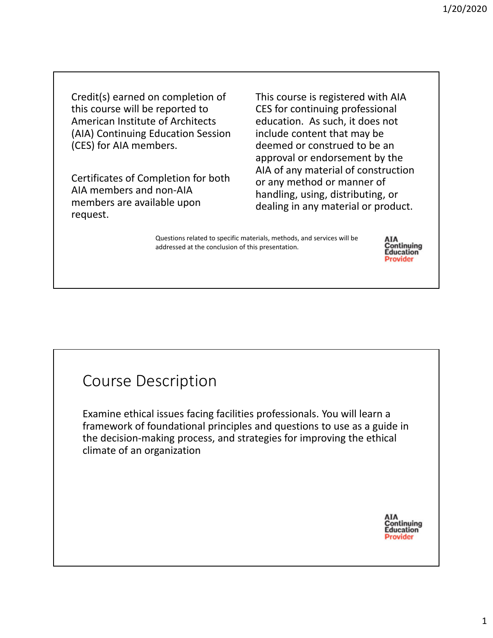Credit(s) earned on completion of this course will be reported to American Institute of Architects (AIA) Continuing Education Session (CES) for AIA members.

Certificates of Completion for both AIA members and non‐AIA members are available upon request.

This course is registered with AIA CES for continuing professional education. As such, it does not include content that may be deemed or construed to be an approval or endorsement by the AIA of any material of construction or any method or manner of handling, using, distributing, or dealing in any material or product.

Questions related to specific materials, methods, and services will be addressed at the conclusion of this presentation.



## Course Description

Examine ethical issues facing facilities professionals. You will learn a framework of foundational principles and questions to use as a guide in the decision‐making process, and strategies for improving the ethical climate of an organization

> ΑΙΑ Continuing **Education** Provider